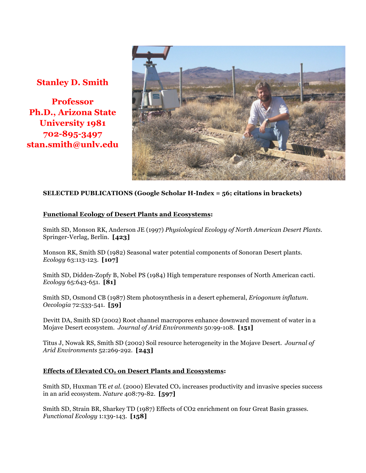# **Stanley D. Smith**

**Professor Ph.D., Arizona State University 1981 702-895-3497 stan.smith@unlv.edu**



## **SELECTED PUBLICATIONS (Google Scholar H-Index = 56; citations in brackets)**

### **Functional Ecology of Desert Plants and Ecosystems:**

Smith SD, Monson RK, Anderson JE (1997) *Physiological Ecology of North American Desert Plants*. Springer-Verlag, Berlin. **[423]**

Monson RK, Smith SD (1982) Seasonal water potential components of Sonoran Desert plants. *Ecology* 63:113-123. **[107]**

Smith SD, Didden-Zopfy B, Nobel PS (1984) High temperature responses of North American cacti. *Ecology* 65:643-651. **[81]**

Smith SD, Osmond CB (1987) Stem photosynthesis in a desert ephemeral, *Eriogonum inflatum*. *Oecologia* 72:533-541. **[59]**

Devitt DA, Smith SD (2002) Root channel macropores enhance downward movement of water in a Mojave Desert ecosystem. *Journal of Arid Environments* 50:99-108. **[151]**

Titus J, Nowak RS, Smith SD (2002) Soil resource heterogeneity in the Mojave Desert. *Journal of Arid Environments* 52:269-292. **[243]**

#### **Effects of Elevated CO<sub>2</sub> on Desert Plants and Ecosystems:**

Smith SD, Huxman TE *et al.* (2000) Elevated CO<sub>2</sub> increases productivity and invasive species success in an arid ecosystem. *Nature* 408:79-82. **[597]**

Smith SD, Strain BR, Sharkey TD (1987) Effects of CO2 enrichment on four Great Basin grasses. *Functional Ecology* 1:139-143. **[158]**